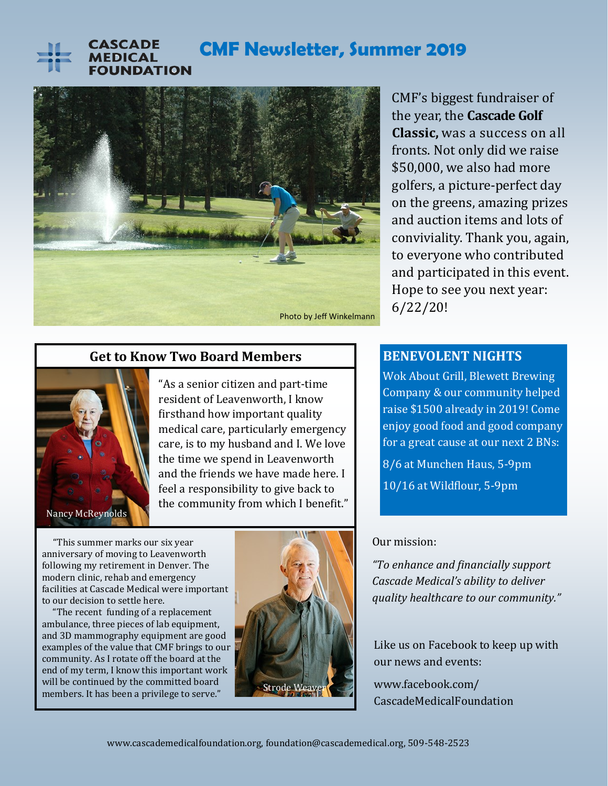

# **CMF Newsletter, Summer 2019**



CMF's biggest fundraiser of the year, the **Cascade Golf Classic,** was a success on all fronts. Not only did we raise \$50,000, we also had more golfers, a picture-perfect day on the greens, amazing prizes and auction items and lots of conviviality. Thank you, again, to everyone who contributed and participated in this event. Hope to see you next year: 6/22/20!

### **Get to Know Two Board Members**



"As a senior citizen and part-time resident of Leavenworth, I know firsthand how important quality medical care, particularly emergency care, is to my husband and I. We love the time we spend in Leavenworth and the friends we have made here. I feel a responsibility to give back to the community from which I benefit."

 "This summer marks our six year anniversary of moving to Leavenworth following my retirement in Denver. The modern clinic, rehab and emergency facilities at Cascade Medical were important to our decision to settle here.

 "The recent funding of a replacement ambulance, three pieces of lab equipment, and 3D mammography equipment are good examples of the value that CMF brings to our community. As I rotate off the board at the end of my term, I know this important work will be continued by the committed board will be continued by the committed board



### **BENEVOLENT NIGHTS**

Wok About Grill, Blewett Brewing Company & our community helped raise \$1500 already in 2019! Come enjoy good food and good company for a great cause at our next 2 BNs: 8/6 at Munchen Haus, 5-9pm 10/16 at Wildflour, 5-9pm

#### Our mission:

*"To enhance and financially support Cascade Medical's ability to deliver quality healthcare to our community."* 

Like us on Facebook to keep up with our news and events:

www.facebook.com/ CascadeMedicalFoundation